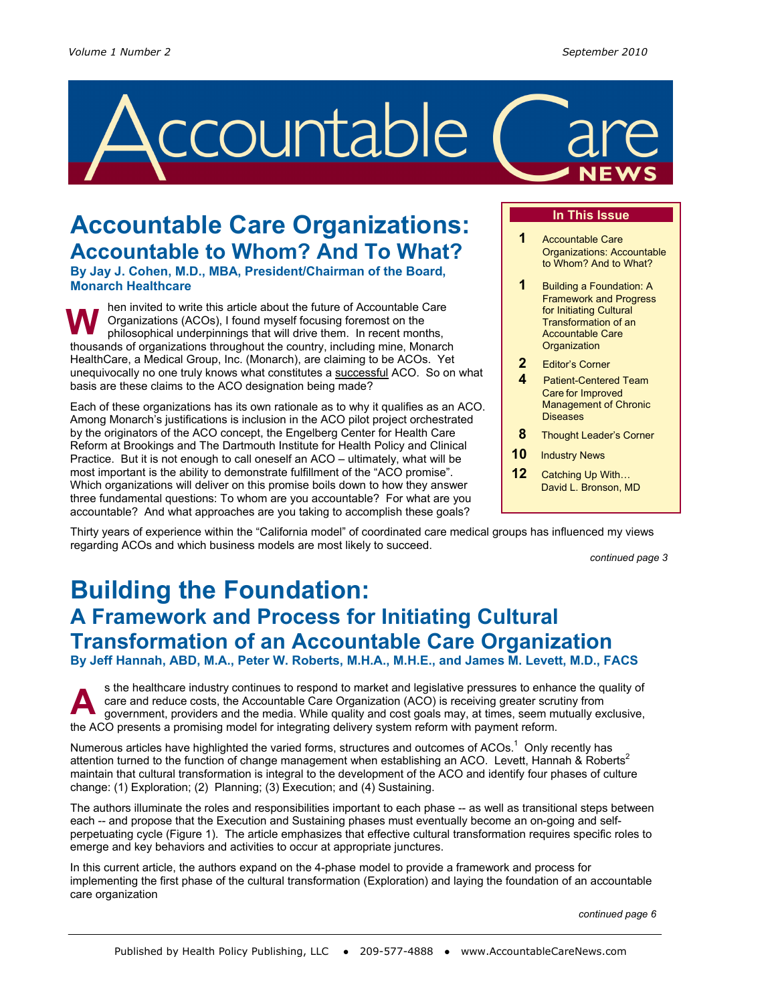

# **Accountable Care Organizations: Accountable to Whom? And To What?**

**By Jay J. Cohen, M.D., MBA, President/Chairman of the Board, Monarch Healthcare**

hen invited to write this article about the future of Accountable Care Organizations (ACOs), I found myself focusing foremost on the philosophical underpinnings that will drive them. In recent months, thousands of organizations throughout the country, including mine, Monarch HealthCare, a Medical Group, Inc. (Monarch), are claiming to be ACOs. Yet unequivocally no one truly knows what constitutes a successful ACO. So on what basis are these claims to the ACO designation being made? **W** 

Each of these organizations has its own rationale as to why it qualifies as an ACO. Among Monarch's justifications is inclusion in the ACO pilot project orchestrated by the originators of the ACO concept, the Engelberg Center for Health Care Reform at Brookings and The Dartmouth Institute for Health Policy and Clinical Practice. But it is not enough to call oneself an ACO – ultimately, what will be most important is the ability to demonstrate fulfillment of the "ACO promise". Which organizations will deliver on this promise boils down to how they answer three fundamental questions: To whom are you accountable? For what are you accountable? And what approaches are you taking to accomplish these goals?

### **In This Issue**

- **1** Accountable Care Organizations: Accountable to Whom? And to What?
- **1** Building a Foundation: A Framework and Progress for Initiating Cultural Transformation of an Accountable Care **Organization**
- **2** Editor's Corner
- **Patient-Centered Team** Care for Improved Management of Chronic Diseases
- **8** Thought Leader's Corner
- **10** Industry News
- **12** Catching Up With… David L. Bronson, MD

Thirty years of experience within the "California model" of coordinated care medical groups has influenced my views regarding ACOs and which business models are most likely to succeed.

*continued page 3* 

## **Building the Foundation: A Framework and Process for Initiating Cultural Transformation of an Accountable Care Organization**

**By Jeff Hannah, ABD, M.A., Peter W. Roberts, M.H.A., M.H.E., and James M. Levett, M.D., FACS** 

s the healthcare industry continues to respond to market and legislative pressures to enhance the quality of care and reduce costs, the Accountable Care Organization (ACO) is receiving greater scrutiny from government, providers and the media. While quality and cost goals may, at times, seem mutually exclusive, the ACO presents a promising model for integrating delivery system reform with payment reform. **A** 

Numerous articles have highlighted the varied forms, structures and outcomes of ACOs.<sup>1</sup> Only recently has attention turned to the function of change management when establishing an ACO. Levett, Hannah & Roberts<sup>2</sup> maintain that cultural transformation is integral to the development of the ACO and identify four phases of culture change: (1) Exploration; (2) Planning; (3) Execution; and (4) Sustaining.

The authors illuminate the roles and responsibilities important to each phase -- as well as transitional steps between each -- and propose that the Execution and Sustaining phases must eventually become an on-going and selfperpetuating cycle (Figure 1). The article emphasizes that effective cultural transformation requires specific roles to emerge and key behaviors and activities to occur at appropriate junctures.

In this current article, the authors expand on the 4-phase model to provide a framework and process for implementing the first phase of the cultural transformation (Exploration) and laying the foundation of an accountable care organization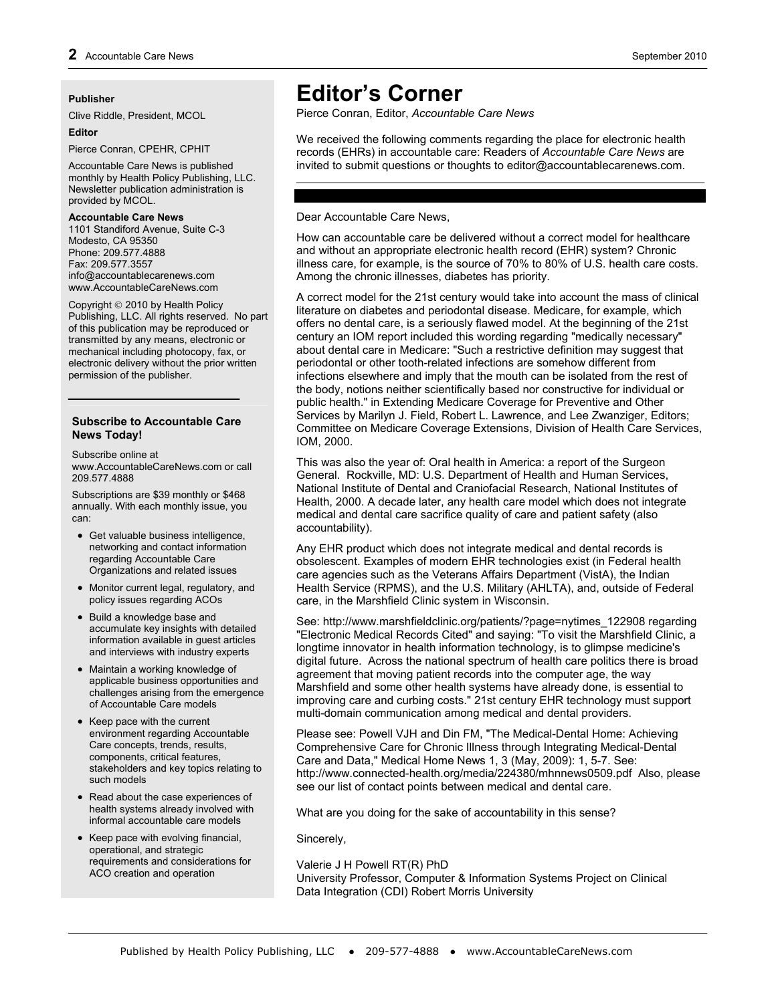#### **Publisher**

Clive Riddle, President, MCOL

#### **Editor**

Pierce Conran, CPEHR, CPHIT

Accountable Care News is published monthly by Health Policy Publishing, LLC. Newsletter publication administration is provided by MCOL.

#### **Accountable Care News**

1101 Standiford Avenue, Suite C-3 Modesto, CA 95350 Phone: 209.577.4888 Fax: 209.577.3557 info@accountablecarenews.com www.AccountableCareNews.com

Copyright © 2010 by Health Policy Publishing, LLC. All rights reserved. No part of this publication may be reproduced or transmitted by any means, electronic or mechanical including photocopy, fax, or electronic delivery without the prior written permission of the publisher.

#### **Subscribe to Accountable Care News Today!**

Subscribe online at www.AccountableCareNews.com or call 209.577.4888

Subscriptions are \$39 monthly or \$468 annually. With each monthly issue, you can:

- Get valuable business intelligence, networking and contact information regarding Accountable Care Organizations and related issues
- Monitor current legal, regulatory, and policy issues regarding ACOs
- Build a knowledge base and accumulate key insights with detailed information available in guest articles and interviews with industry experts
- Maintain a working knowledge of applicable business opportunities and challenges arising from the emergence of Accountable Care models
- Keep pace with the current environment regarding Accountable Care concepts, trends, results, components, critical features, stakeholders and key topics relating to such models
- Read about the case experiences of health systems already involved with informal accountable care models
- Keep pace with evolving financial, operational, and strategic requirements and considerations for ACO creation and operation

## **Editor's Corner**

Pierce Conran, Editor, *Accountable Care News* 

We received the following comments regarding the place for electronic health records (EHRs) in accountable care: Readers of *Accountable Care News* are invited to submit questions or thoughts to editor@accountablecarenews.com.

#### Dear Accountable Care News,

How can accountable care be delivered without a correct model for healthcare and without an appropriate electronic health record (EHR) system? Chronic illness care, for example, is the source of 70% to 80% of U.S. health care costs. Among the chronic illnesses, diabetes has priority.

A correct model for the 21st century would take into account the mass of clinical literature on diabetes and periodontal disease. Medicare, for example, which offers no dental care, is a seriously flawed model. At the beginning of the 21st century an IOM report included this wording regarding "medically necessary" about dental care in Medicare: "Such a restrictive definition may suggest that periodontal or other tooth-related infections are somehow different from infections elsewhere and imply that the mouth can be isolated from the rest of the body, notions neither scientifically based nor constructive for individual or public health." in Extending Medicare Coverage for Preventive and Other Services by Marilyn J. Field, Robert L. Lawrence, and Lee Zwanziger, Editors; Committee on Medicare Coverage Extensions, Division of Health Care Services, IOM, 2000.

This was also the year of: Oral health in America: a report of the Surgeon General. Rockville, MD: U.S. Department of Health and Human Services, National Institute of Dental and Craniofacial Research, National Institutes of Health, 2000. A decade later, any health care model which does not integrate medical and dental care sacrifice quality of care and patient safety (also accountability).

Any EHR product which does not integrate medical and dental records is obsolescent. Examples of modern EHR technologies exist (in Federal health care agencies such as the Veterans Affairs Department (VistA), the Indian Health Service (RPMS), and the U.S. Military (AHLTA), and, outside of Federal care, in the Marshfield Clinic system in Wisconsin.

See: http://www.marshfieldclinic.org/patients/?page=nytimes\_122908 regarding "Electronic Medical Records Cited" and saying: "To visit the Marshfield Clinic, a longtime innovator in health information technology, is to glimpse medicine's digital future. Across the national spectrum of health care politics there is broad agreement that moving patient records into the computer age, the way Marshfield and some other health systems have already done, is essential to improving care and curbing costs." 21st century EHR technology must support multi-domain communication among medical and dental providers.

Please see: Powell VJH and Din FM, "The Medical-Dental Home: Achieving Comprehensive Care for Chronic Illness through Integrating Medical-Dental Care and Data," Medical Home News 1, 3 (May, 2009): 1, 5-7. See: http://www.connected-health.org/media/224380/mhnnews0509.pdf Also, please see our list of contact points between medical and dental care.

What are you doing for the sake of accountability in this sense?

Sincerely,

Valerie J H Powell RT(R) PhD University Professor, Computer & Information Systems Project on Clinical Data Integration (CDI) Robert Morris University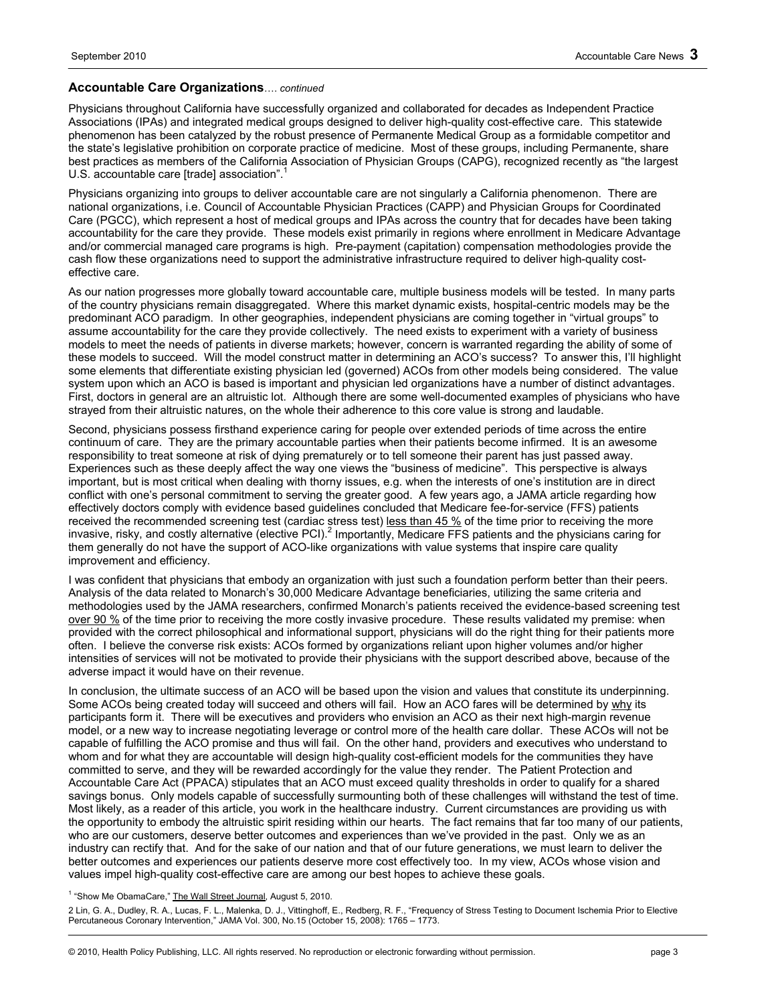#### **Accountable Care Organizations**…. *continued*

Physicians throughout California have successfully organized and collaborated for decades as Independent Practice Associations (IPAs) and integrated medical groups designed to deliver high-quality cost-effective care. This statewide phenomenon has been catalyzed by the robust presence of Permanente Medical Group as a formidable competitor and the state's legislative prohibition on corporate practice of medicine. Most of these groups, including Permanente, share best practices as members of the California Association of Physician Groups (CAPG), recognized recently as "the largest U.S. accountable care [trade] association".

Physicians organizing into groups to deliver accountable care are not singularly a California phenomenon. There are national organizations, i.e. Council of Accountable Physician Practices (CAPP) and Physician Groups for Coordinated Care (PGCC), which represent a host of medical groups and IPAs across the country that for decades have been taking accountability for the care they provide. These models exist primarily in regions where enrollment in Medicare Advantage and/or commercial managed care programs is high. Pre-payment (capitation) compensation methodologies provide the cash flow these organizations need to support the administrative infrastructure required to deliver high-quality costeffective care.

As our nation progresses more globally toward accountable care, multiple business models will be tested. In many parts of the country physicians remain disaggregated. Where this market dynamic exists, hospital-centric models may be the predominant ACO paradigm. In other geographies, independent physicians are coming together in "virtual groups" to assume accountability for the care they provide collectively. The need exists to experiment with a variety of business models to meet the needs of patients in diverse markets; however, concern is warranted regarding the ability of some of these models to succeed. Will the model construct matter in determining an ACO's success? To answer this, I'll highlight some elements that differentiate existing physician led (governed) ACOs from other models being considered. The value system upon which an ACO is based is important and physician led organizations have a number of distinct advantages. First, doctors in general are an altruistic lot. Although there are some well-documented examples of physicians who have strayed from their altruistic natures, on the whole their adherence to this core value is strong and laudable.

Second, physicians possess firsthand experience caring for people over extended periods of time across the entire continuum of care. They are the primary accountable parties when their patients become infirmed. It is an awesome responsibility to treat someone at risk of dying prematurely or to tell someone their parent has just passed away. Experiences such as these deeply affect the way one views the "business of medicine". This perspective is always important, but is most critical when dealing with thorny issues, e.g. when the interests of one's institution are in direct conflict with one's personal commitment to serving the greater good. A few years ago, a JAMA article regarding how effectively doctors comply with evidence based guidelines concluded that Medicare fee-for-service (FFS) patients received the recommended screening test (cardiac stress test) less than 45 % of the time prior to receiving the more invasive, risky, and costly alternative (elective PCI).<sup>2</sup> Importantly, Medicare FFS patients and the physicians caring for them generally do not have the support of ACO-like organizations with value systems that inspire care quality improvement and efficiency.

I was confident that physicians that embody an organization with just such a foundation perform better than their peers. Analysis of the data related to Monarch's 30,000 Medicare Advantage beneficiaries, utilizing the same criteria and methodologies used by the JAMA researchers, confirmed Monarch's patients received the evidence-based screening test over 90 % of the time prior to receiving the more costly invasive procedure. These results validated my premise: when provided with the correct philosophical and informational support, physicians will do the right thing for their patients more often. I believe the converse risk exists: ACOs formed by organizations reliant upon higher volumes and/or higher intensities of services will not be motivated to provide their physicians with the support described above, because of the adverse impact it would have on their revenue.

In conclusion, the ultimate success of an ACO will be based upon the vision and values that constitute its underpinning. Some ACOs being created today will succeed and others will fail. How an ACO fares will be determined by why its participants form it. There will be executives and providers who envision an ACO as their next high-margin revenue model, or a new way to increase negotiating leverage or control more of the health care dollar. These ACOs will not be capable of fulfilling the ACO promise and thus will fail. On the other hand, providers and executives who understand to whom and for what they are accountable will design high-quality cost-efficient models for the communities they have committed to serve, and they will be rewarded accordingly for the value they render. The Patient Protection and Accountable Care Act (PPACA) stipulates that an ACO must exceed quality thresholds in order to qualify for a shared savings bonus. Only models capable of successfully surmounting both of these challenges will withstand the test of time. Most likely, as a reader of this article, you work in the healthcare industry. Current circumstances are providing us with the opportunity to embody the altruistic spirit residing within our hearts. The fact remains that far too many of our patients, who are our customers, deserve better outcomes and experiences than we've provided in the past. Only we as an industry can rectify that. And for the sake of our nation and that of our future generations, we must learn to deliver the better outcomes and experiences our patients deserve more cost effectively too. In my view, ACOs whose vision and values impel high-quality cost-effective care are among our best hopes to achieve these goals.

<sup>1</sup> "Show Me ObamaCare," The Wall Street Journal, August 5, 2010.

2 Lin, G. A., Dudley, R. A., Lucas, F. L., Malenka, D. J., Vittinghoff, E., Redberg, R. F., "Frequency of Stress Testing to Document Ischemia Prior to Elective Percutaneous Coronary Intervention," JAMA Vol. 300, No.15 (October 15, 2008): 1765 – 1773.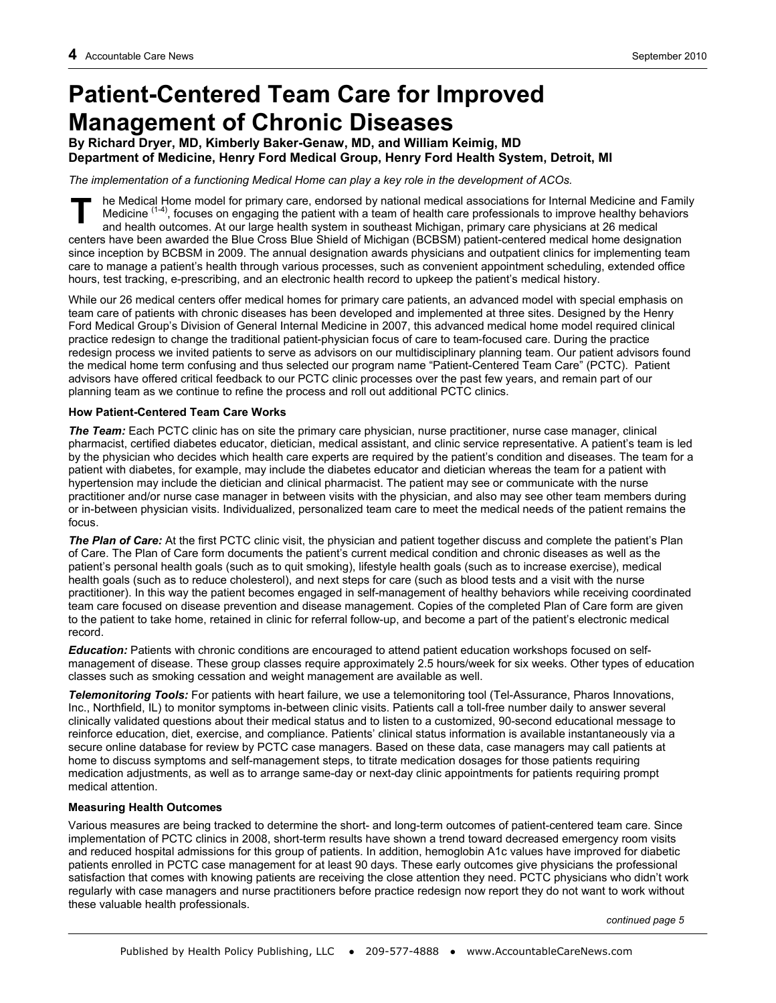# **Patient-Centered Team Care for Improved Management of Chronic Diseases**<br>By Richard Dryer, MD, Kimberly Baker-Genaw, MD, and William Keimig, MD

# **Department of Medicine, Henry Ford Medical Group, Henry Ford Health System, Detroit, MI**

*The implementation of a functioning Medical Home can play a key role in the development of ACOs.* 

he Medical Home model for primary care, endorsed by national medical associations for Internal Medicine and Family Medicine  $(1-4)$ , focuses on engaging the patient with a team of health care professionals to improve healthy behaviors and health outcomes. At our large health system in southeast Michigan, primary care physicians at 26 medical centers have been awarded the Blue Cross Blue Shield of Michigan (BCBSM) patient-centered medical home designation since inception by BCBSM in 2009. The annual designation awards physicians and outpatient clinics for implementing team care to manage a patient's health through various processes, such as convenient appointment scheduling, extended office hours, test tracking, e-prescribing, and an electronic health record to upkeep the patient's medical history. **T** 

While our 26 medical centers offer medical homes for primary care patients, an advanced model with special emphasis on team care of patients with chronic diseases has been developed and implemented at three sites. Designed by the Henry Ford Medical Group's Division of General Internal Medicine in 2007, this advanced medical home model required clinical practice redesign to change the traditional patient-physician focus of care to team-focused care. During the practice redesign process we invited patients to serve as advisors on our multidisciplinary planning team. Our patient advisors found the medical home term confusing and thus selected our program name "Patient-Centered Team Care" (PCTC). Patient advisors have offered critical feedback to our PCTC clinic processes over the past few years, and remain part of our planning team as we continue to refine the process and roll out additional PCTC clinics.

#### **How Patient-Centered Team Care Works**

*The Team:* Each PCTC clinic has on site the primary care physician, nurse practitioner, nurse case manager, clinical pharmacist, certified diabetes educator, dietician, medical assistant, and clinic service representative. A patient's team is led by the physician who decides which health care experts are required by the patient's condition and diseases. The team for a patient with diabetes, for example, may include the diabetes educator and dietician whereas the team for a patient with hypertension may include the dietician and clinical pharmacist. The patient may see or communicate with the nurse practitioner and/or nurse case manager in between visits with the physician, and also may see other team members during or in-between physician visits. Individualized, personalized team care to meet the medical needs of the patient remains the focus.

*The Plan of Care:* At the first PCTC clinic visit, the physician and patient together discuss and complete the patient's Plan of Care. The Plan of Care form documents the patient's current medical condition and chronic diseases as well as the patient's personal health goals (such as to quit smoking), lifestyle health goals (such as to increase exercise), medical health goals (such as to reduce cholesterol), and next steps for care (such as blood tests and a visit with the nurse practitioner). In this way the patient becomes engaged in self-management of healthy behaviors while receiving coordinated team care focused on disease prevention and disease management. Copies of the completed Plan of Care form are given to the patient to take home, retained in clinic for referral follow-up, and become a part of the patient's electronic medical record.

*Education:* Patients with chronic conditions are encouraged to attend patient education workshops focused on selfmanagement of disease. These group classes require approximately 2.5 hours/week for six weeks. Other types of education classes such as smoking cessation and weight management are available as well.

*Telemonitoring Tools:* For patients with heart failure, we use a telemonitoring tool (Tel-Assurance, Pharos Innovations, Inc., Northfield, IL) to monitor symptoms in-between clinic visits. Patients call a toll-free number daily to answer several clinically validated questions about their medical status and to listen to a customized, 90-second educational message to reinforce education, diet, exercise, and compliance. Patients' clinical status information is available instantaneously via a secure online database for review by PCTC case managers. Based on these data, case managers may call patients at home to discuss symptoms and self-management steps, to titrate medication dosages for those patients requiring medication adjustments, as well as to arrange same-day or next-day clinic appointments for patients requiring prompt medical attention.

### **Measuring Health Outcomes**

Various measures are being tracked to determine the short- and long-term outcomes of patient-centered team care. Since implementation of PCTC clinics in 2008, short-term results have shown a trend toward decreased emergency room visits and reduced hospital admissions for this group of patients. In addition, hemoglobin A1c values have improved for diabetic patients enrolled in PCTC case management for at least 90 days. These early outcomes give physicians the professional satisfaction that comes with knowing patients are receiving the close attention they need. PCTC physicians who didn't work regularly with case managers and nurse practitioners before practice redesign now report they do not want to work without these valuable health professionals.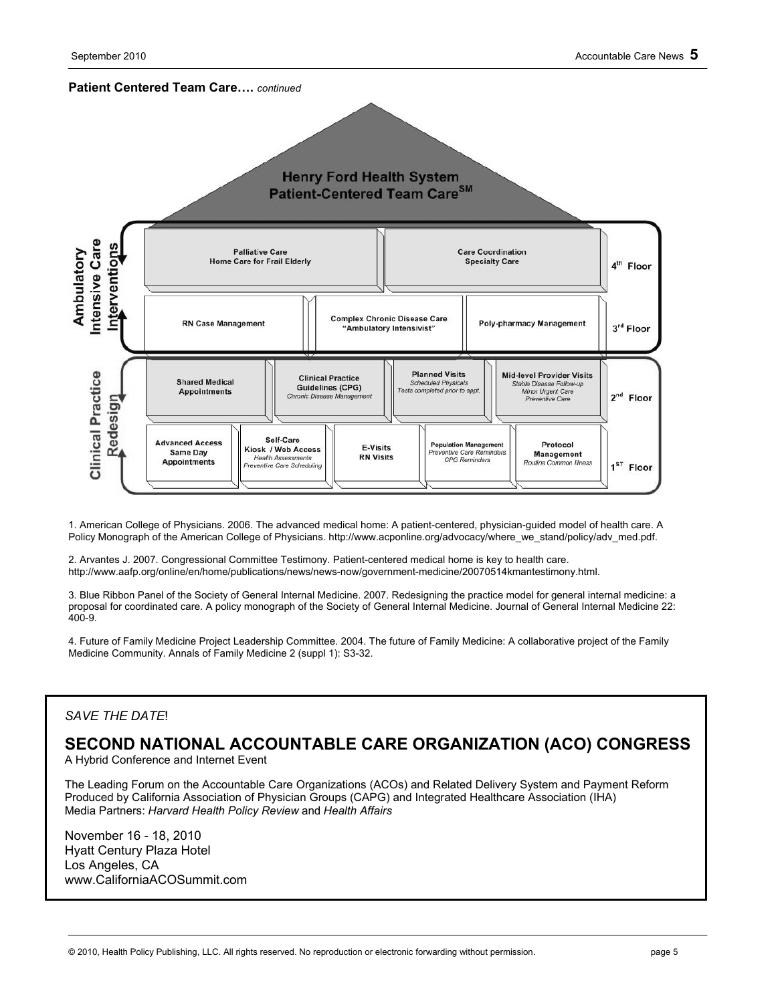

1. American College of Physicians. 2006. The advanced medical home: A patient-centered, physician-guided model of health care. A Policy Monograph of the American College of Physicians. http://www.acponline.org/advocacy/where\_we\_stand/policy/adv\_med.pdf.

2. Arvantes J. 2007. Congressional Committee Testimony. Patient-centered medical home is key to health care. http://www.aafp.org/online/en/home/publications/news/news-now/government-medicine/20070514kmantestimony.html.

3. Blue Ribbon Panel of the Society of General Internal Medicine. 2007. Redesigning the practice model for general internal medicine: a proposal for coordinated care. A policy monograph of the Society of General Internal Medicine. Journal of General Internal Medicine 22: 400-9.

4. Future of Family Medicine Project Leadership Committee. 2004. The future of Family Medicine: A collaborative project of the Family Medicine Community. Annals of Family Medicine 2 (suppl 1): S3-32.

### *SAVE THE DATE*!

## **SECOND NATIONAL ACCOUNTABLE CARE ORGANIZATION (ACO) CONGRESS**

A Hybrid Conference and Internet Event

The Leading Forum on the Accountable Care Organizations (ACOs) and Related Delivery System and Payment Reform Produced by California Association of Physician Groups (CAPG) and Integrated Healthcare Association (IHA) Media Partners: *Harvard Health Policy Review* and *Health Affairs*

November 16 - 18, 2010 Hyatt Century Plaza Hotel Los Angeles, CA www.CaliforniaACOSummit.com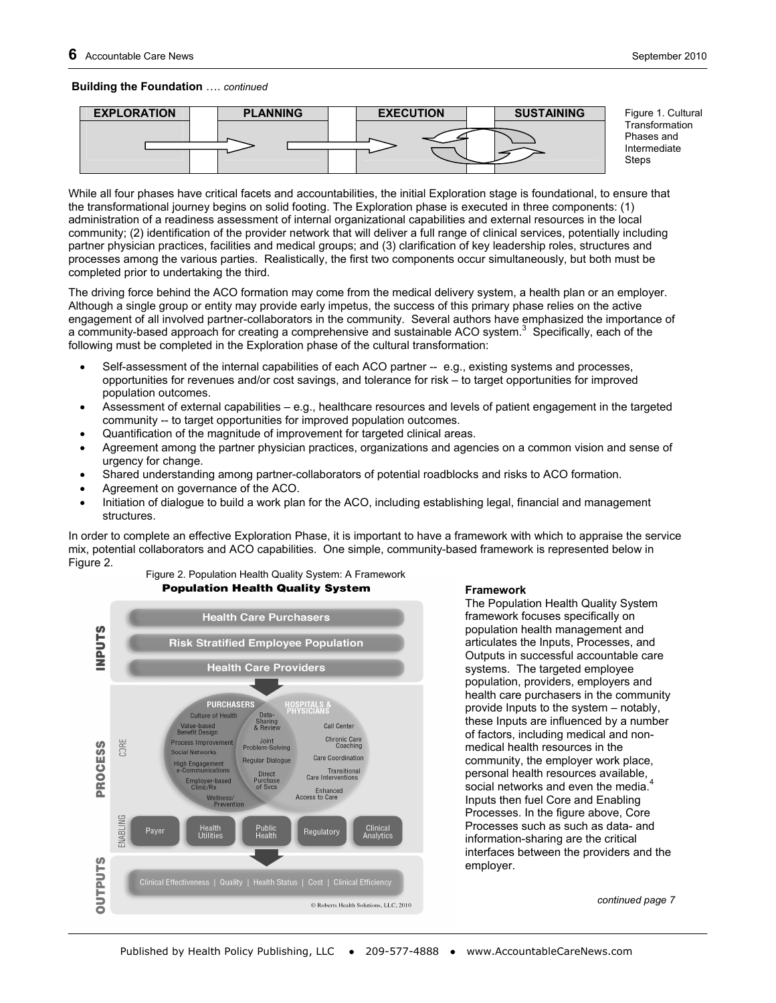#### **Building the Foundation** …. *continued*



Figure 1. Cultural **Transformation** Phases and Intermediate Steps

While all four phases have critical facets and accountabilities, the initial Exploration stage is foundational, to ensure that the transformational journey begins on solid footing. The Exploration phase is executed in three components: (1) administration of a readiness assessment of internal organizational capabilities and external resources in the local community; (2) identification of the provider network that will deliver a full range of clinical services, potentially including partner physician practices, facilities and medical groups; and (3) clarification of key leadership roles, structures and processes among the various parties. Realistically, the first two components occur simultaneously, but both must be completed prior to undertaking the third.

The driving force behind the ACO formation may come from the medical delivery system, a health plan or an employer. Although a single group or entity may provide early impetus, the success of this primary phase relies on the active engagement of all involved partner-collaborators in the community. Several authors have emphasized the importance of a community-based approach for creating a comprehensive and sustainable ACO system.<sup>3</sup> Specifically, each of the following must be completed in the Exploration phase of the cultural transformation:

- Self-assessment of the internal capabilities of each ACO partner -- e.g., existing systems and processes, opportunities for revenues and/or cost savings, and tolerance for risk – to target opportunities for improved population outcomes.
- Assessment of external capabilities e.g., healthcare resources and levels of patient engagement in the targeted community -- to target opportunities for improved population outcomes.
- Quantification of the magnitude of improvement for targeted clinical areas.
- Agreement among the partner physician practices, organizations and agencies on a common vision and sense of urgency for change.
- Shared understanding among partner-collaborators of potential roadblocks and risks to ACO formation.
- Agreement on governance of the ACO.
- Initiation of dialogue to build a work plan for the ACO, including establishing legal, financial and management structures.

In order to complete an effective Exploration Phase, it is important to have a framework with which to appraise the service mix, potential collaborators and ACO capabilities. One simple, community-based framework is represented below in Figure 2.



#### **Framework**

The Population Health Quality System framework focuses specifically on population health management and articulates the Inputs, Processes, and Outputs in successful accountable care systems. The targeted employee population, providers, employers and health care purchasers in the community provide Inputs to the system – notably, these Inputs are influenced by a number of factors, including medical and nonmedical health resources in the community, the employer work place, personal health resources available, social networks and even the media. $4$ Inputs then fuel Core and Enabling Processes. In the figure above, Core Processes such as such as data- and information-sharing are the critical interfaces between the providers and the employer.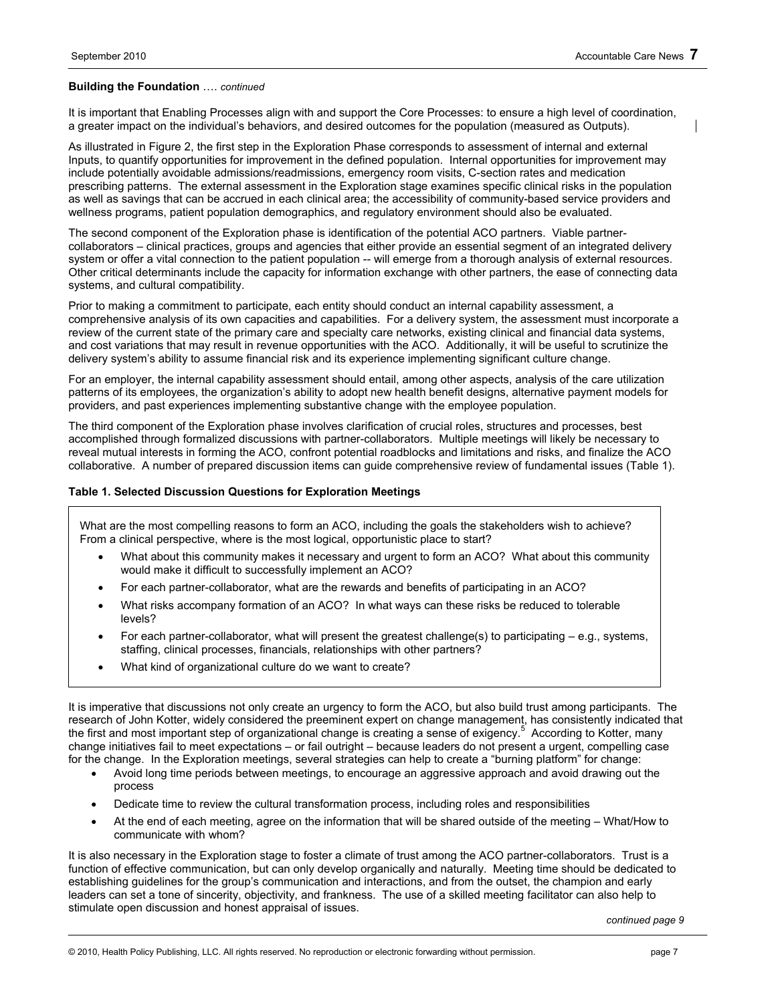#### **Building the Foundation** …. *continued*

It is important that Enabling Processes align with and support the Core Processes: to ensure a high level of coordination, a greater impact on the individual's behaviors, and desired outcomes for the population (measured as Outputs).

As illustrated in Figure 2, the first step in the Exploration Phase corresponds to assessment of internal and external Inputs, to quantify opportunities for improvement in the defined population. Internal opportunities for improvement may include potentially avoidable admissions/readmissions, emergency room visits, C-section rates and medication prescribing patterns. The external assessment in the Exploration stage examines specific clinical risks in the population as well as savings that can be accrued in each clinical area; the accessibility of community-based service providers and wellness programs, patient population demographics, and regulatory environment should also be evaluated.

The second component of the Exploration phase is identification of the potential ACO partners. Viable partnercollaborators – clinical practices, groups and agencies that either provide an essential segment of an integrated delivery system or offer a vital connection to the patient population -- will emerge from a thorough analysis of external resources. Other critical determinants include the capacity for information exchange with other partners, the ease of connecting data systems, and cultural compatibility.

Prior to making a commitment to participate, each entity should conduct an internal capability assessment, a comprehensive analysis of its own capacities and capabilities. For a delivery system, the assessment must incorporate a review of the current state of the primary care and specialty care networks, existing clinical and financial data systems, and cost variations that may result in revenue opportunities with the ACO. Additionally, it will be useful to scrutinize the delivery system's ability to assume financial risk and its experience implementing significant culture change.

For an employer, the internal capability assessment should entail, among other aspects, analysis of the care utilization patterns of its employees, the organization's ability to adopt new health benefit designs, alternative payment models for providers, and past experiences implementing substantive change with the employee population.

The third component of the Exploration phase involves clarification of crucial roles, structures and processes, best accomplished through formalized discussions with partner-collaborators. Multiple meetings will likely be necessary to reveal mutual interests in forming the ACO, confront potential roadblocks and limitations and risks, and finalize the ACO collaborative. A number of prepared discussion items can guide comprehensive review of fundamental issues (Table 1).

#### **Table 1. Selected Discussion Questions for Exploration Meetings**

What are the most compelling reasons to form an ACO, including the goals the stakeholders wish to achieve? From a clinical perspective, where is the most logical, opportunistic place to start?

- What about this community makes it necessary and urgent to form an ACO? What about this community would make it difficult to successfully implement an ACO?
- For each partner-collaborator, what are the rewards and benefits of participating in an ACO?
- What risks accompany formation of an ACO? In what ways can these risks be reduced to tolerable levels?
- For each partner-collaborator, what will present the greatest challenge(s) to participating  $-e.g.,$  systems, staffing, clinical processes, financials, relationships with other partners?
- What kind of organizational culture do we want to create?

It is imperative that discussions not only create an urgency to form the ACO, but also build trust among participants. The research of John Kotter, widely considered the preeminent expert on change management, has consistently indicated that the first and most important step of organizational change is creating a sense of exigency.<sup>5</sup> According to Kotter, many change initiatives fail to meet expectations – or fail outright – because leaders do not present a urgent, compelling case for the change. In the Exploration meetings, several strategies can help to create a "burning platform" for change:

- Avoid long time periods between meetings, to encourage an aggressive approach and avoid drawing out the process
- Dedicate time to review the cultural transformation process, including roles and responsibilities
- At the end of each meeting, agree on the information that will be shared outside of the meeting What/How to communicate with whom?

It is also necessary in the Exploration stage to foster a climate of trust among the ACO partner-collaborators. Trust is a function of effective communication, but can only develop organically and naturally. Meeting time should be dedicated to establishing guidelines for the group's communication and interactions, and from the outset, the champion and early leaders can set a tone of sincerity, objectivity, and frankness. The use of a skilled meeting facilitator can also help to stimulate open discussion and honest appraisal of issues.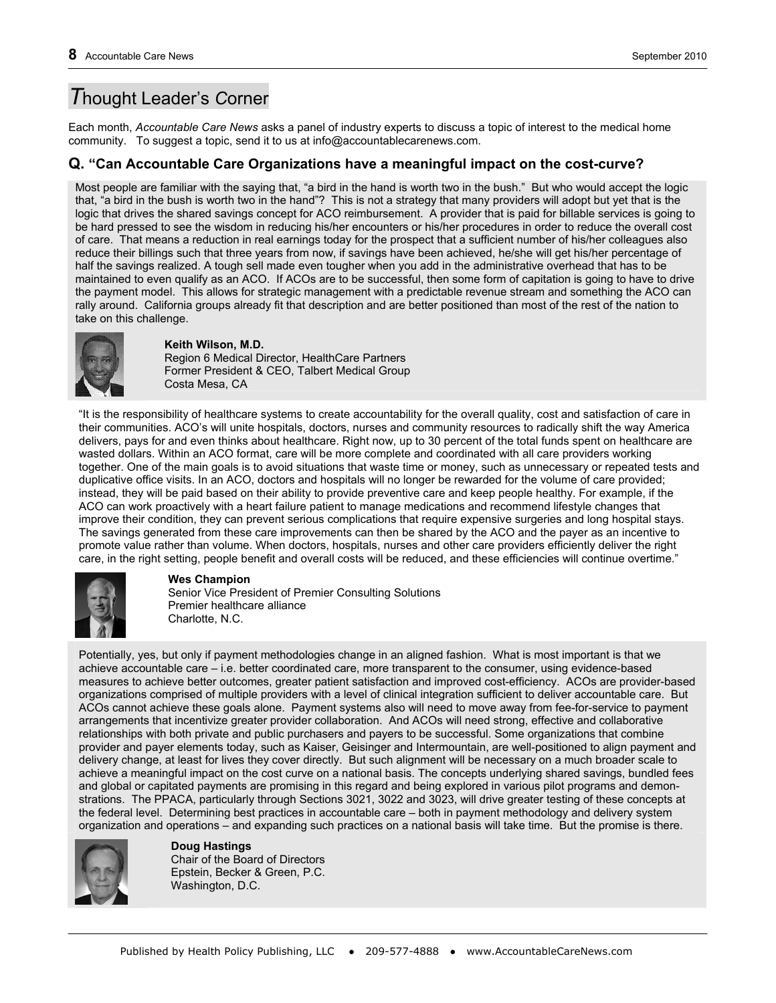## *T*hought Leader's *C*orner

Each month, *Accountable Care News* asks a panel of industry experts to discuss a topic of interest to the medical home community. To suggest a topic, send it to us at info@accountablecarenews.com.

### **Q. "Can Accountable Care Organizations have a meaningful impact on the cost-curve?**

Most people are familiar with the saying that, "a bird in the hand is worth two in the bush." But who would accept the logic that, "a bird in the bush is worth two in the hand"? This is not a strategy that many providers will adopt but yet that is the logic that drives the shared savings concept for ACO reimbursement. A provider that is paid for billable services is going to be hard pressed to see the wisdom in reducing his/her encounters or his/her procedures in order to reduce the overall cost of care. That means a reduction in real earnings today for the prospect that a sufficient number of his/her colleagues also reduce their billings such that three years from now, if savings have been achieved, he/she will get his/her percentage of half the savings realized. A tough sell made even tougher when you add in the administrative overhead that has to be maintained to even qualify as an ACO. If ACOs are to be successful, then some form of capitation is going to have to drive the payment model. This allows for strategic management with a predictable revenue stream and something the ACO can rally around. California groups already fit that description and are better positioned than most of the rest of the nation to take on this challenge.



### **Keith Wilson, M.D.**

Region 6 Medical Director, HealthCare Partners Former President & CEO, Talbert Medical Group Costa Mesa, CA

"It is the responsibility of healthcare systems to create accountability for the overall quality, cost and satisfaction of care in their communities. ACO's will unite hospitals, doctors, nurses and community resources to radically shift the way America delivers, pays for and even thinks about healthcare. Right now, up to 30 percent of the total funds spent on healthcare are wasted dollars. Within an ACO format, care will be more complete and coordinated with all care providers working together. One of the main goals is to avoid situations that waste time or money, such as unnecessary or repeated tests and duplicative office visits. In an ACO, doctors and hospitals will no longer be rewarded for the volume of care provided; instead, they will be paid based on their ability to provide preventive care and keep people healthy. For example, if the ACO can work proactively with a heart failure patient to manage medications and recommend lifestyle changes that improve their condition, they can prevent serious complications that require expensive surgeries and long hospital stays. The savings generated from these care improvements can then be shared by the ACO and the payer as an incentive to promote value rather than volume. When doctors, hospitals, nurses and other care providers efficiently deliver the right care, in the right setting, people benefit and overall costs will be reduced, and these efficiencies will continue overtime."



### **Wes Champion**

Senior Vice President of Premier Consulting Solutions Premier healthcare alliance Charlotte, N.C.

Potentially, yes, but only if payment methodologies change in an aligned fashion. What is most important is that we achieve accountable care – i.e. better coordinated care, more transparent to the consumer, using evidence-based measures to achieve better outcomes, greater patient satisfaction and improved cost-efficiency. ACOs are provider-based organizations comprised of multiple providers with a level of clinical integration sufficient to deliver accountable care. But ACOs cannot achieve these goals alone. Payment systems also will need to move away from fee-for-service to payment arrangements that incentivize greater provider collaboration. And ACOs will need strong, effective and collaborative relationships with both private and public purchasers and payers to be successful. Some organizations that combine provider and payer elements today, such as Kaiser, Geisinger and Intermountain, are well-positioned to align payment and delivery change, at least for lives they cover directly. But such alignment will be necessary on a much broader scale to achieve a meaningful impact on the cost curve on a national basis. The concepts underlying shared savings, bundled fees and global or capitated payments are promising in this regard and being explored in various pilot programs and demonstrations. The PPACA, particularly through Sections 3021, 3022 and 3023, will drive greater testing of these concepts at the federal level. Determining best practices in accountable care – both in payment methodology and delivery system organization and operations – and expanding such practices on a national basis will take time. But the promise is there.



**Doug Hastings** 

Chair of the Board of Directors Epstein, Becker & Green, P.C. Washington, D.C.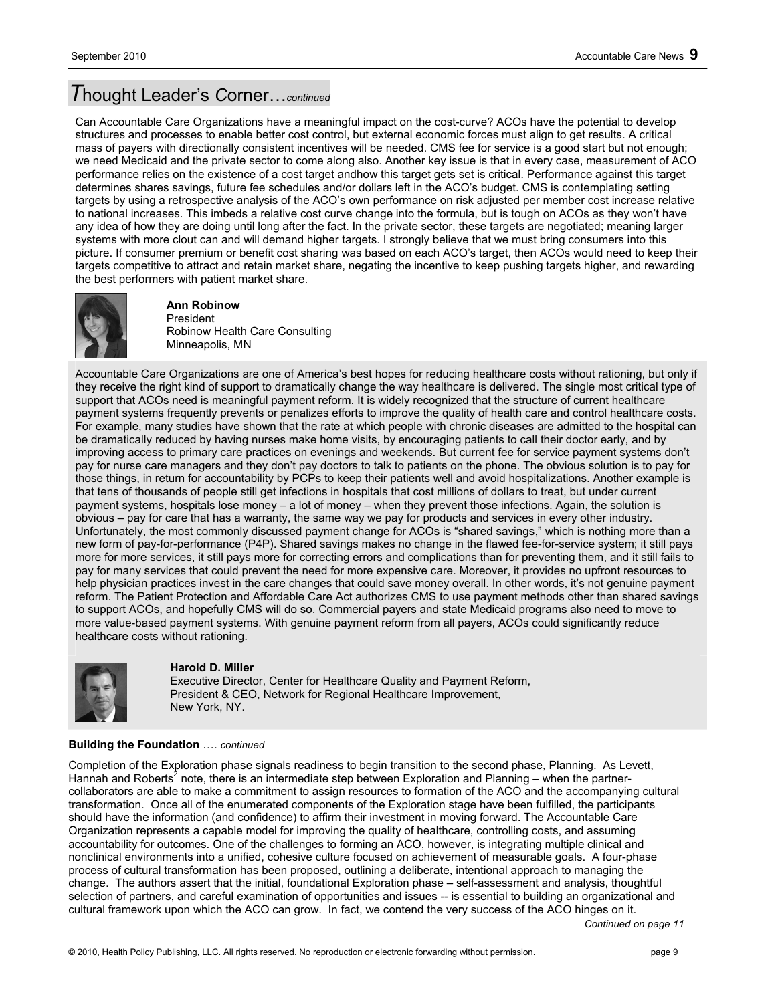## *T*hought Leader's *C*orner…*continued*

Can Accountable Care Organizations have a meaningful impact on the cost-curve? ACOs have the potential to develop structures and processes to enable better cost control, but external economic forces must align to get results. A critical mass of payers with directionally consistent incentives will be needed. CMS fee for service is a good start but not enough; we need Medicaid and the private sector to come along also. Another key issue is that in every case, measurement of ACO performance relies on the existence of a cost target andhow this target gets set is critical. Performance against this target determines shares savings, future fee schedules and/or dollars left in the ACO's budget. CMS is contemplating setting targets by using a retrospective analysis of the ACO's own performance on risk adjusted per member cost increase relative to national increases. This imbeds a relative cost curve change into the formula, but is tough on ACOs as they won't have any idea of how they are doing until long after the fact. In the private sector, these targets are negotiated; meaning larger systems with more clout can and will demand higher targets. I strongly believe that we must bring consumers into this picture. If consumer premium or benefit cost sharing was based on each ACO's target, then ACOs would need to keep their targets competitive to attract and retain market share, negating the incentive to keep pushing targets higher, and rewarding the best performers with patient market share.



#### **Ann Robinow**  President

Robinow Health Care Consulting Minneapolis, MN

Accountable Care Organizations are one of America's best hopes for reducing healthcare costs without rationing, but only if they receive the right kind of support to dramatically change the way healthcare is delivered. The single most critical type of support that ACOs need is meaningful payment reform. It is widely recognized that the structure of current healthcare payment systems frequently prevents or penalizes efforts to improve the quality of health care and control healthcare costs. For example, many studies have shown that the rate at which people with chronic diseases are admitted to the hospital can be dramatically reduced by having nurses make home visits, by encouraging patients to call their doctor early, and by improving access to primary care practices on evenings and weekends. But current fee for service payment systems don't pay for nurse care managers and they don't pay doctors to talk to patients on the phone. The obvious solution is to pay for those things, in return for accountability by PCPs to keep their patients well and avoid hospitalizations. Another example is that tens of thousands of people still get infections in hospitals that cost millions of dollars to treat, but under current payment systems, hospitals lose money – a lot of money – when they prevent those infections. Again, the solution is obvious – pay for care that has a warranty, the same way we pay for products and services in every other industry. Unfortunately, the most commonly discussed payment change for ACOs is "shared savings," which is nothing more than a new form of pay-for-performance (P4P). Shared savings makes no change in the flawed fee-for-service system; it still pays more for more services, it still pays more for correcting errors and complications than for preventing them, and it still fails to pay for many services that could prevent the need for more expensive care. Moreover, it provides no upfront resources to help physician practices invest in the care changes that could save money overall. In other words, it's not genuine payment reform. The Patient Protection and Affordable Care Act authorizes CMS to use payment methods other than shared savings to support ACOs, and hopefully CMS will do so. Commercial payers and state Medicaid programs also need to move to more value-based payment systems. With genuine payment reform from all payers, ACOs could significantly reduce healthcare costs without rationing.



#### **Harold D. Miller**

Executive Director, Center for Healthcare Quality and Payment Reform, President & CEO, Network for Regional Healthcare Improvement, New York, NY.

#### **Building the Foundation** …. *continued*

Completion of the Exploration phase signals readiness to begin transition to the second phase, Planning. As Levett, Hannah and Roberts<sup>2</sup> note, there is an intermediate step between Exploration and Planning – when the partnercollaborators are able to make a commitment to assign resources to formation of the ACO and the accompanying cultural transformation. Once all of the enumerated components of the Exploration stage have been fulfilled, the participants should have the information (and confidence) to affirm their investment in moving forward. The Accountable Care Organization represents a capable model for improving the quality of healthcare, controlling costs, and assuming accountability for outcomes. One of the challenges to forming an ACO, however, is integrating multiple clinical and nonclinical environments into a unified, cohesive culture focused on achievement of measurable goals. A four-phase process of cultural transformation has been proposed, outlining a deliberate, intentional approach to managing the change. The authors assert that the initial, foundational Exploration phase – self-assessment and analysis, thoughtful selection of partners, and careful examination of opportunities and issues -- is essential to building an organizational and cultural framework upon which the ACO can grow. In fact, we contend the very success of the ACO hinges on it.

*Continued on page 11*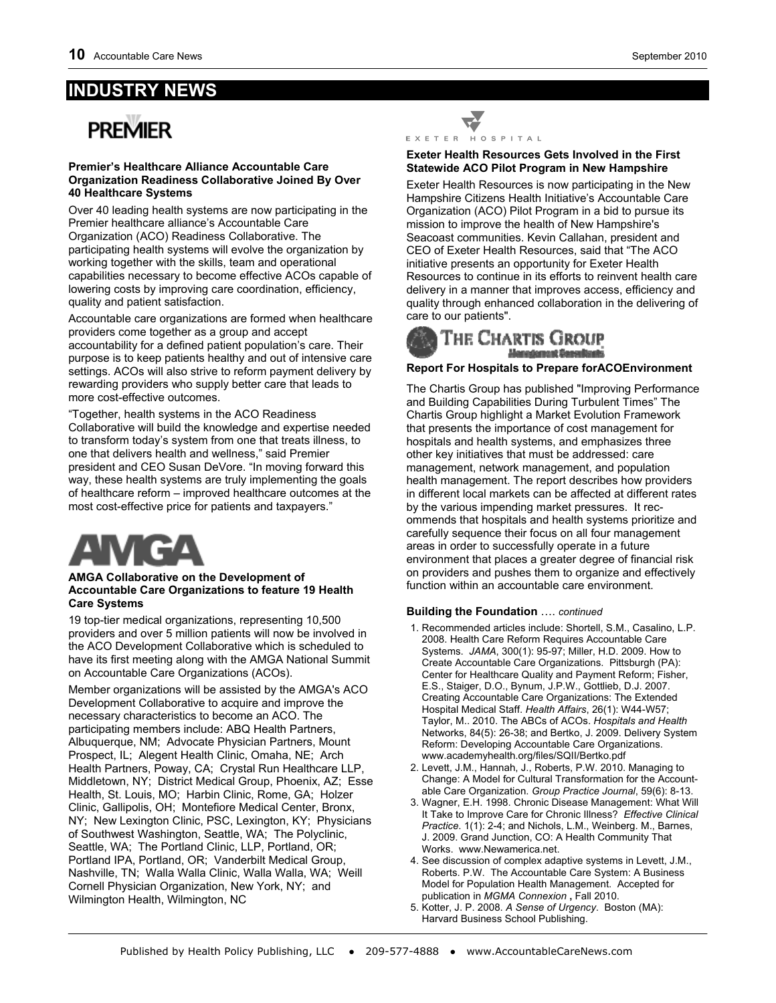## **INDUSTRY NEWS**

# **PRFMIFR**

#### **Premier's Healthcare Alliance Accountable Care Organization Readiness Collaborative Joined By Over 40 Healthcare Systems**

Over 40 leading health systems are now participating in the Premier healthcare alliance's Accountable Care Organization (ACO) Readiness Collaborative. The participating health systems will evolve the organization by working together with the skills, team and operational capabilities necessary to become effective ACOs capable of lowering costs by improving care coordination, efficiency, quality and patient satisfaction.

Accountable care organizations are formed when healthcare providers come together as a group and accept accountability for a defined patient population's care. Their purpose is to keep patients healthy and out of intensive care settings. ACOs will also strive to reform payment delivery by rewarding providers who supply better care that leads to more cost-effective outcomes.

"Together, health systems in the ACO Readiness Collaborative will build the knowledge and expertise needed to transform today's system from one that treats illness, to one that delivers health and wellness," said Premier president and CEO Susan DeVore. "In moving forward this way, these health systems are truly implementing the goals of healthcare reform – improved healthcare outcomes at the most cost-effective price for patients and taxpayers."



#### **AMGA Collaborative on the Development of Accountable Care Organizations to feature 19 Health Care Systems**

19 top-tier medical organizations, representing 10,500 providers and over 5 million patients will now be involved in the ACO Development Collaborative which is scheduled to have its first meeting along with the AMGA National Summit on Accountable Care Organizations (ACOs).

Member organizations will be assisted by the AMGA's ACO Development Collaborative to acquire and improve the necessary characteristics to become an ACO. The participating members include: ABQ Health Partners, Albuquerque, NM; Advocate Physician Partners, Mount Prospect, IL; Alegent Health Clinic, Omaha, NE; Arch Health Partners, Poway, CA; Crystal Run Healthcare LLP, Middletown, NY; District Medical Group, Phoenix, AZ; Esse Health, St. Louis, MO; Harbin Clinic, Rome, GA; Holzer Clinic, Gallipolis, OH; Montefiore Medical Center, Bronx, NY; New Lexington Clinic, PSC, Lexington, KY; Physicians of Southwest Washington, Seattle, WA; The Polyclinic, Seattle, WA; The Portland Clinic, LLP, Portland, OR; Portland IPA, Portland, OR; Vanderbilt Medical Group, Nashville, TN; Walla Walla Clinic, Walla Walla, WA; Weill Cornell Physician Organization, New York, NY; and Wilmington Health, Wilmington, NC



#### **Exeter Health Resources Gets Involved in the First Statewide ACO Pilot Program in New Hampshire**

Exeter Health Resources is now participating in the New Hampshire Citizens Health Initiative's Accountable Care Organization (ACO) Pilot Program in a bid to pursue its mission to improve the health of New Hampshire's Seacoast communities. Kevin Callahan, president and CEO of Exeter Health Resources, said that "The ACO initiative presents an opportunity for Exeter Health Resources to continue in its efforts to reinvent health care delivery in a manner that improves access, efficiency and quality through enhanced collaboration in the delivering of care to our patients".



#### **Report For Hospitals to Prepare forACOEnvironment**

The Chartis Group has published "Improving Performance and Building Capabilities During Turbulent Times" The Chartis Group highlight a Market Evolution Framework that presents the importance of cost management for hospitals and health systems, and emphasizes three other key initiatives that must be addressed: care management, network management, and population health management. The report describes how providers in different local markets can be affected at different rates by the various impending market pressures. It recommends that hospitals and health systems prioritize and carefully sequence their focus on all four management areas in order to successfully operate in a future environment that places a greater degree of financial risk on providers and pushes them to organize and effectively function within an accountable care environment.

### **Building the Foundation** …. *continued*

- 1. Recommended articles include: Shortell, S.M., Casalino, L.P. 2008. Health Care Reform Requires Accountable Care Systems. *JAMA*, 300(1): 95-97; Miller, H.D. 2009. How to Create Accountable Care Organizations. Pittsburgh (PA): Center for Healthcare Quality and Payment Reform; Fisher, E.S., Staiger, D.O., Bynum, J.P.W., Gottlieb, D.J. 2007. Creating Accountable Care Organizations: The Extended Hospital Medical Staff. *Health Affairs*, 26(1): W44-W57; Taylor, M.. 2010. The ABCs of ACOs. *Hospitals and Health*  Networks, 84(5): 26-38; and Bertko, J. 2009. Delivery System Reform: Developing Accountable Care Organizations. www.academyhealth.org/files/SQII/Bertko.pdf
- 2. Levett, J.M., Hannah, J., Roberts, P.W. 2010. Managing to Change: A Model for Cultural Transformation for the Accountable Care Organization. *Group Practice Journal*, 59(6): 8-13.
- 3. Wagner, E.H. 1998. Chronic Disease Management: What Will It Take to Improve Care for Chronic Illness? *Effective Clinical Practice*. 1(1): 2-4; and Nichols, L.M., Weinberg. M., Barnes, J. 2009. Grand Junction, CO: A Health Community That Works. www.Newamerica.net.
- 4. See discussion of complex adaptive systems in Levett, J.M., Roberts. P.W. The Accountable Care System: A Business Model for Population Health Management. Accepted for publication in MGMA Connexion, Fall 2010.
- 5. Kotter, J. P. 2008. *A Sense of Urgency*. Boston (MA): Harvard Business School Publishing.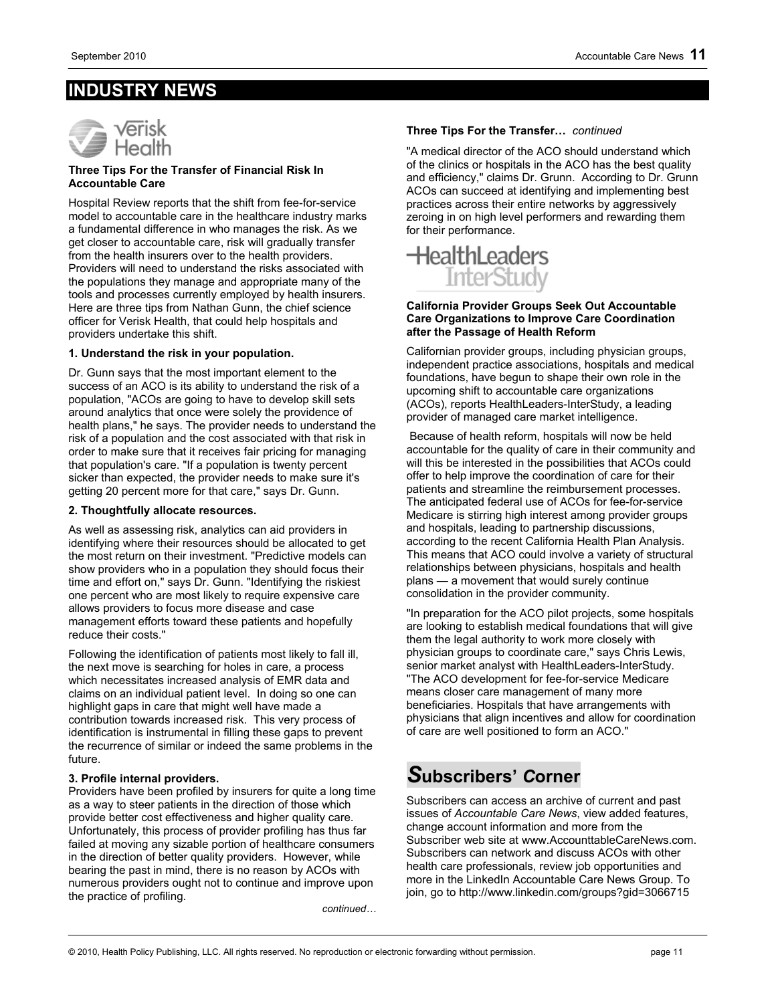## **INDUSTRY NEWS**



#### **Three Tips For the Transfer of Financial Risk In Accountable Care**

Hospital Review reports that the shift from fee-for-service model to accountable care in the healthcare industry marks a fundamental difference in who manages the risk. As we get closer to accountable care, risk will gradually transfer from the health insurers over to the health providers. Providers will need to understand the risks associated with the populations they manage and appropriate many of the tools and processes currently employed by health insurers. Here are three tips from Nathan Gunn, the chief science officer for Verisk Health, that could help hospitals and providers undertake this shift.

#### **1. Understand the risk in your population.**

Dr. Gunn says that the most important element to the success of an ACO is its ability to understand the risk of a population, "ACOs are going to have to develop skill sets around analytics that once were solely the providence of health plans," he says. The provider needs to understand the risk of a population and the cost associated with that risk in order to make sure that it receives fair pricing for managing that population's care. "If a population is twenty percent sicker than expected, the provider needs to make sure it's getting 20 percent more for that care," says Dr. Gunn.

#### **2. Thoughtfully allocate resources.**

As well as assessing risk, analytics can aid providers in identifying where their resources should be allocated to get the most return on their investment. "Predictive models can show providers who in a population they should focus their time and effort on," says Dr. Gunn. "Identifying the riskiest one percent who are most likely to require expensive care allows providers to focus more disease and case management efforts toward these patients and hopefully reduce their costs."

Following the identification of patients most likely to fall ill, the next move is searching for holes in care, a process which necessitates increased analysis of EMR data and claims on an individual patient level. In doing so one can highlight gaps in care that might well have made a contribution towards increased risk. This very process of identification is instrumental in filling these gaps to prevent the recurrence of similar or indeed the same problems in the future.

#### **3. Profile internal providers.**

Providers have been profiled by insurers for quite a long time as a way to steer patients in the direction of those which provide better cost effectiveness and higher quality care. Unfortunately, this process of provider profiling has thus far failed at moving any sizable portion of healthcare consumers in the direction of better quality providers. However, while bearing the past in mind, there is no reason by ACOs with numerous providers ought not to continue and improve upon the practice of profiling.

*continued…*

#### **Three Tips For the Transfer…** *continued*

"A medical director of the ACO should understand which of the clinics or hospitals in the ACO has the best quality and efficiency," claims Dr. Grunn. According to Dr. Grunn ACOs can succeed at identifying and implementing best practices across their entire networks by aggressively zeroing in on high level performers and rewarding them for their performance.



#### **California Provider Groups Seek Out Accountable Care Organizations to Improve Care Coordination after the Passage of Health Reform**

Californian provider groups, including physician groups, independent practice associations, hospitals and medical foundations, have begun to shape their own role in the upcoming shift to accountable care organizations (ACOs), reports HealthLeaders-InterStudy, a leading provider of managed care market intelligence.

 Because of health reform, hospitals will now be held accountable for the quality of care in their community and will this be interested in the possibilities that ACOs could offer to help improve the coordination of care for their patients and streamline the reimbursement processes. The anticipated federal use of ACOs for fee-for-service Medicare is stirring high interest among provider groups and hospitals, leading to partnership discussions, according to the recent California Health Plan Analysis. This means that ACO could involve a variety of structural relationships between physicians, hospitals and health plans — a movement that would surely continue consolidation in the provider community.

"In preparation for the ACO pilot projects, some hospitals are looking to establish medical foundations that will give them the legal authority to work more closely with physician groups to coordinate care," says Chris Lewis, senior market analyst with HealthLeaders-InterStudy. "The ACO development for fee-for-service Medicare means closer care management of many more beneficiaries. Hospitals that have arrangements with physicians that align incentives and allow for coordination of care are well positioned to form an ACO."

## *S***ubscribers'** *C***orner**

Subscribers can access an archive of current and past issues of *Accountable Care News*, view added features, change account information and more from the Subscriber web site at www.AccounttableCareNews.com. Subscribers can network and discuss ACOs with other health care professionals, review job opportunities and more in the LinkedIn Accountable Care News Group. To join, go to http://www.linkedin.com/groups?gid=3066715